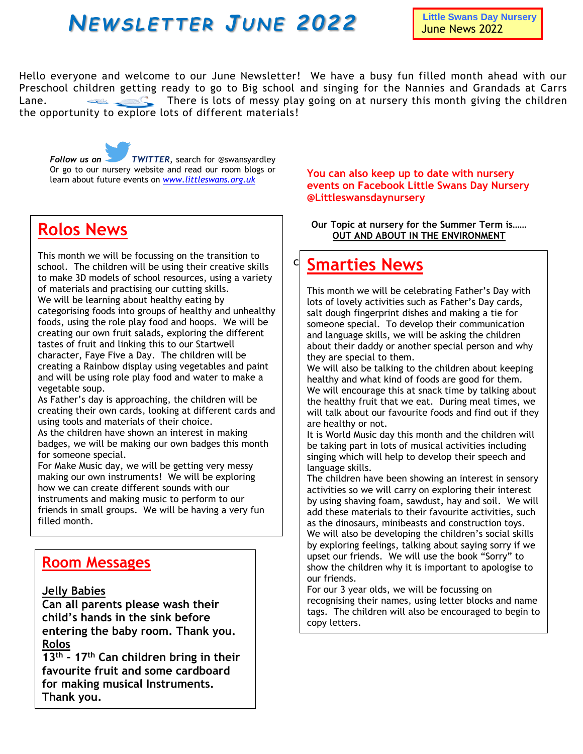# *NEW S L E T T E R J U N E 2 0 2 2*

**Little Swans Day Nursery**  June News 2022

Hello everyone and welcome to our June Newsletter! We have a busy fun filled month ahead with our Preschool children getting ready to go to Big school and singing for the Nannies and Grandads at Carrs Lane. So There is lots of messy play going on at nursery this month giving the children the opportunity to explore lots of different materials!

*Follow us on TWITTER*, search for @swansyardley Or go to our nursery website and read our room blogs or learn about future events on *[www.littleswans.org.uk](http://www.littleswans.org.uk/)*

#### **Rolos News**

This month we will be focussing on the transition to school. The children will be using their creative skills to make 3D models of school resources, using a variety of materials and practising our cutting skills. We will be learning about healthy eating by categorising foods into groups of healthy and unhealthy foods, using the role play food and hoops. We will be creating our own fruit salads, exploring the different tastes of fruit and linking this to our Startwell character, Faye Five a Day. The children will be creating a Rainbow display using vegetables and paint and will be using role play food and water to make a vegetable soup.

As Father's day is approaching, the children will be creating their own cards, looking at different cards and using tools and materials of their choice.

As the children have shown an interest in making badges, we will be making our own badges this month for someone special.

For Make Music day, we will be getting very messy making our own instruments! We will be exploring how we can create different sounds with our instruments and making music to perform to our friends in small groups. We will be having a very fun filled month.

#### **Room Messages**

#### **Jelly Babies**

**Can all parents please wash their child's hands in the sink before entering the baby room. Thank you. Rolos**

**13th – 17th Can children bring in their favourite fruit and some cardboard for making musical Instruments. Thank you.**

**You can also keep up to date with nursery events on Facebook Little Swans Day Nursery @Littleswansdaynursery** 

**Our Topic at nursery for the Summer Term is…… OUT AND ABOUT IN THE ENVIRONMENT**

## **Smarties News**

This month we will be celebrating Father's Day with lots of lovely activities such as Father's Day cards, salt dough fingerprint dishes and making a tie for someone special. To develop their communication and language skills, we will be asking the children about their daddy or another special person and why they are special to them.

We will also be talking to the children about keeping healthy and what kind of foods are good for them. We will encourage this at snack time by talking about the healthy fruit that we eat. During meal times, we will talk about our favourite foods and find out if they are healthy or not.

It is World Music day this month and the children will be taking part in lots of musical activities including singing which will help to develop their speech and language skills.

The children have been showing an interest in sensory activities so we will carry on exploring their interest by using shaving foam, sawdust, hay and soil. We will add these materials to their favourite activities, such as the dinosaurs, minibeasts and construction toys. We will also be developing the children's social skills by exploring feelings, talking about saying sorry if we upset our friends. We will use the book "Sorry" to show the children why it is important to apologise to our friends.

For our 3 year olds, we will be focussing on recognising their names, using letter blocks and name tags. The children will also be encouraged to begin to copy letters.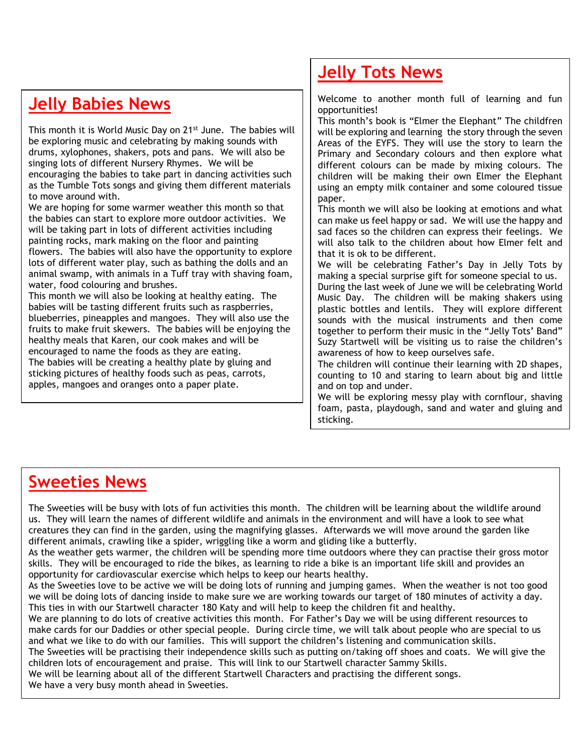# **Jelly Babies News**

This month it is World Music Day on 21<sup>st</sup> June. The babies will be exploring music and celebrating by making sounds with drums, xylophones, shakers, pots and pans. We will also be singing lots of different Nursery Rhymes. We will be encouraging the babies to take part in dancing activities such as the Tumble Tots songs and giving them different materials to move around with.

We are hoping for some warmer weather this month so that the babies can start to explore more outdoor activities. We will be taking part in lots of different activities including painting rocks, mark making on the floor and painting flowers. The babies will also have the opportunity to explore lots of different water play, such as bathing the dolls and an animal swamp, with animals in a Tuff tray with shaving foam, water, food colouring and brushes.

This month we will also be looking at healthy eating. The babies will be tasting different fruits such as raspberries, blueberries, pineapples and mangoes. They will also use the fruits to make fruit skewers. The babies will be enjoying the healthy meals that Karen, our cook makes and will be encouraged to name the foods as they are eating. The babies will be creating a healthy plate by gluing and sticking pictures of healthy foods such as peas, carrots, apples, mangoes and oranges onto a paper plate.

# **Jelly Tots News**

Welcome to another month full of learning and fun opportunities!

This month's book is "Elmer the Elephant" The childfren will be exploring and learning the story through the seven Areas of the EYFS. They will use the story to learn the Primary and Secondary colours and then explore what different colours can be made by mixing colours. The children will be making their own Elmer the Elephant using an empty milk container and some coloured tissue paper.

This month we will also be looking at emotions and what can make us feel happy or sad. We will use the happy and sad faces so the children can express their feelings. We will also talk to the children about how Elmer felt and that it is ok to be different.

We will be celebrating Father's Day in Jelly Tots by making a special surprise gift for someone special to us.

During the last week of June we will be celebrating World Music Day. The children will be making shakers using plastic bottles and lentils. They will explore different sounds with the musical instruments and then come together to perform their music in the "Jelly Tots' Band" Suzy Startwell will be visiting us to raise the children's awareness of how to keep ourselves safe.

The children will continue their learning with 2D shapes, counting to 10 and staring to learn about big and little and on top and under.

We will be exploring messy play with cornflour, shaving foam, pasta, playdough, sand and water and gluing and sticking.

## **Sweeties News**

The Sweeties will be busy with lots of fun activities this month. The children will be learning about the wildlife around us. They will learn the names of different wildlife and animals in the environment and will have a look to see what creatures they can find in the garden, using the magnifying glasses. Afterwards we will move around the garden like different animals, crawling like a spider, wriggling like a worm and gliding like a butterfly.

As the weather gets warmer, the children will be spending more time outdoors where they can practise their gross motor skills. They will be encouraged to ride the bikes, as learning to ride a bike is an important life skill and provides an opportunity for cardiovascular exercise which helps to keep our hearts healthy.

As the Sweeties love to be active we will be doing lots of running and jumping games. When the weather is not too good we will be doing lots of dancing inside to make sure we are working towards our target of 180 minutes of activity a day. This ties in with our Startwell character 180 Katy and will help to keep the children fit and healthy.

We are planning to do lots of creative activities this month. For Father's Day we will be using different resources to make cards for our Daddies or other special people. During circle time, we will talk about people who are special to us and what we like to do with our families. This will support the children's listening and communication skills.

The Sweeties will be practising their independence skills such as putting on/taking off shoes and coats. We will give the children lots of encouragement and praise. This will link to our Startwell character Sammy Skills.

We will be learning about all of the different Startwell Characters and practising the different songs. We have a very busy month ahead in Sweeties.